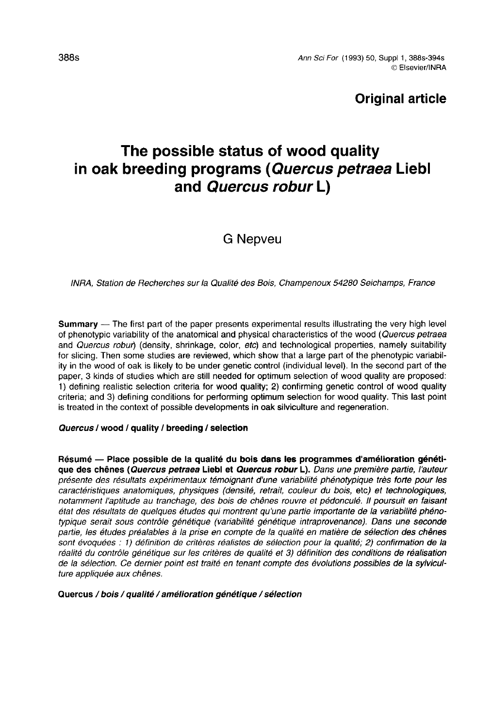# Original article

# The possible status of wood quality in oak breeding programs (Quercus petraea Liebl and Quercus robur L)

# G Nepveu

#### INRA, Station de Recherches sur la Qualité des Bois, Champenoux 54280 Seichamps, France

Summary - The first part of the paper presents experimental results illustrating the very high level of phenotypic variability of the anatomical and physical characteristics of the wood (Quercus petraea and Quercus robur) (density, shrinkage, color, etc) and technological properties, namely suitability for slicing. Then some studies are reviewed, which show that a large part of the phenotypic variability in the wood of oak is likely to be under genetic control (individual level). In the second part of the paper, 3 kinds of studies which are still needed for optimum selection of wood quality are proposed: 1) defining realistic selection criteria for wood quality; 2) confirming genetic control of wood quality criteria; and 3) defining conditions for performing optimum selection for wood quality. This last point is treated in the context of possible developments in oak silviculture and regeneration.

#### Quercus / wood / quality / breeding / selection

Résumé — Place possible de la qualité du bois dans les programmes d'amélioration génétique des chênes (Quercus petraea Liebl et Quercus robur L). Dans une première partie, l'auteur présente des résultats expérimentaux témoignant d'une variabilité phénotypique très forte pour les caractéristiques anatomiques, physiques (densité, retrait, couleur du bois, etc) et technologiques, notamment l'aptitude au tranchage, des bois de chênes rouvre et pédonculé. Il poursuit en faisant état des résultats de quelques études qui montrent qu'une partie importante de la variabilité phénotypique serait sous contrôle génétique (variabilité génétique intraprovenance). Dans une seconde partie, les études préalables à la prise en compte de la qualité en matière de sélection des chênes sont évoquées : 1) définition de critères réalistes de sélection pour la qualité; 2) confirmation de la réalité du contrôle génétique sur les critères de qualité et 3) définition des conditions de réalisation de la sélection. Ce dernier point est traité en tenant compte des évolutions possibles de la sylvicul ture appliquée aux chênes.

#### Quercus / bois / qualité / amélioration génétique / sélection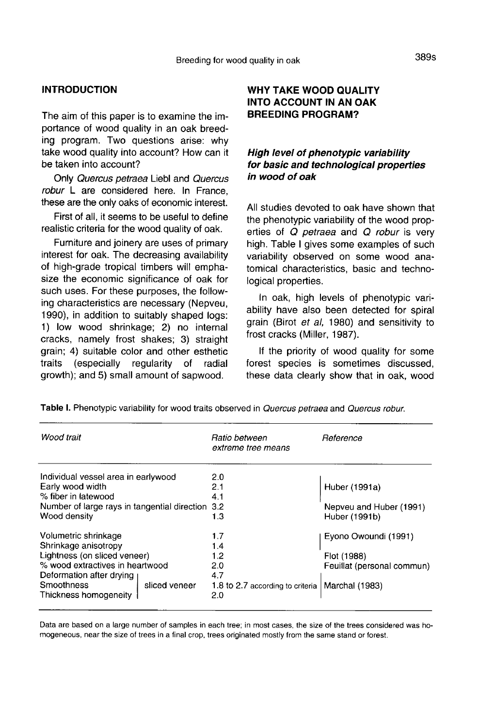# **INTRODUCTION**

The aim of this paper is to examine the importance of wood quality in an oak breeding program. Two questions arise: why take wood quality into account? How can it be taken into account?

Only Quercus petraea Liebl and Quercus robur L are considered here. In France, these are the only oaks of economic interest.

First of all, it seems to be useful to define realistic criteria for the wood quality of oak.

Furniture and joinery are uses of primary interest for oak. The decreasing availability of high-grade tropical timbers will emphasize the economic significance of oak for such uses. For these purposes, the following characteristics are necessary (Nepveu, 1990), in addition to suitably shaped logs: 1) low wood shrinkage; 2) no internal cracks, namely frost shakes; 3) straight grain; 4) suitable color and other esthetic traits (especially regularity of radial growth); and 5) small amount of sapwood.

## WHY TAKE WOOD QUALITY INTO ACCOUNT IN AN OAK BREEDING PROGRAM?

### High level of phenotypic variability for basic and technological properties in wood of oak

All studies devoted to oak have shown that the phenotypic variability of the wood properties of Q petraea and Q robur is very high. Table I gives some examples of such variability observed on some wood anatomical characteristics, basic and technological properties.

In oak, high levels of phenotypic variability have also been detected for spiral grain (Birot et al, 1980) and sensitivity to frost cracks (Miller, 1987).

If the priority of wood quality for some forest species is sometimes discussed, these data clearly show that in oak, wood

| Wood trait                                   | Ratio between<br>extreme tree means | Reference                  |
|----------------------------------------------|-------------------------------------|----------------------------|
| Individual vessel area in earlywood          | 2.0                                 |                            |
| Early wood width                             | 2.1                                 | Huber (1991a)              |
| % fiber in latewood                          | 4.1                                 |                            |
| Number of large rays in tangential direction | 3.2                                 | Nepveu and Huber (1991)    |
| Wood density                                 | 1.3                                 | Huber (1991b)              |
| Volumetric shrinkage                         | 1.7                                 | Eyono Owoundi (1991)       |
| Shrinkage anisotropy                         | 1.4                                 |                            |
| Lightness (on sliced veneer)                 | 1.2                                 | Flot (1988)                |
| % wood extractives in heartwood              | 2.0                                 | Feuillat (personal commun) |
| Deformation after drying                     | 4.7                                 |                            |
| Smoothness<br>sliced veneer                  | 1.8 to 2.7 according to criteria    | Marchal (1983)             |
| Thickness homogeneity                        | 2.0                                 |                            |
|                                              |                                     |                            |

Table I. Phenotypic variability for wood traits observed in Quercus petraea and Quercus robur.

Data are based on a large number of samples in each tree; in most cases, the size of the trees considered was homogeneous, near the size of trees in a final crop, trees originated mostly from the same stand or forest.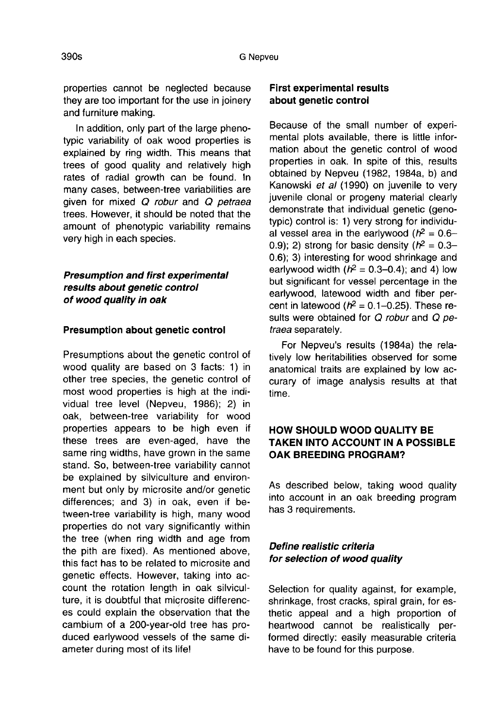properties cannot be neglected because they are too important for the use in joinery and furniture making.

In addition, only part of the large phenotypic variability of oak wood properties is explained by ring width. This means that trees of good quality and relatively high rates of radial growth can be found. In many cases, between-tree variabilities are given for mixed Q robur and Q petraea trees. However, it should be noted that the amount of phenotypic variability remains very high in each species.

### Presumption and first experimental results about genetic control of wood quality in oak

#### Presumption about genetic control

Presumptions about the genetic control of wood quality are based on 3 facts: 1) in other tree species, the genetic control of most wood properties is high at the individual tree level (Nepveu, 1986); 2) in oak, between-tree variability for wood properties appears to be high even if these trees are even-aged, have the same ring widths, have grown in the same stand. So, between-tree variability cannot be explained by silviculture and environment but only by microsite and/or genetic differences; and 3) in oak, even if between-tree variability is high, many wood properties do not vary significantly within the tree (when ring width and age from the pith are fixed). As mentioned above, this fact has to be related to microsite and genetic effects. However, taking into account the rotation length in oak silviculture, it is doubtful that microsite differences could explain the observation that the cambium of a 200-year-old tree has produced earlywood vessels of the same diameter during most of its life!

#### First experimental results about genetic control

Because of the small number of experimental plots available, there is little information about the genetic control of wood properties in oak. In spite of this, results obtained by Nepveu (1982, 1984a, b) and Kanowski et al (1990) on juvenile to verv juvenile clonal or progeny material clearly demonstrate that individual genetic (genotypic) control is: 1) very strong for individual vessel area in the earlywood ( $h^2 = 0.6$ -0.9); 2) strong for basic density  $(h^2 = 0.3$ -0.6); 3) interesting for wood shrinkage and earlywood width  $(h^2 = 0.3-0.4)$ ; and 4) low but significant for vessel percentage in the earlywood, latewood width and fiber percent in latewood ( $h^2 = 0.1 - 0.25$ ). These results were obtained for Q robur and Q petraea separately.

For Nepveu's results (1984a) the relatively low heritabilities observed for some anatomical traits are explained by low accurary of image analysis results at that time.

### HOW SHOULD WOOD QUALITY BE TAKEN INTO ACCOUNT IN A POSSIBLE OAK BREEDING PROGRAM?

As described below, taking wood quality into account in an oak breeding program has 3 requirements.

### Define realistic criteria for selection of wood quality

Selection for quality against, for example, shrinkage, frost cracks, spiral grain, for esthetic appeal and a high proportion of heartwood cannot be realistically performed directly: easily measurable criteria have to be found for this purpose.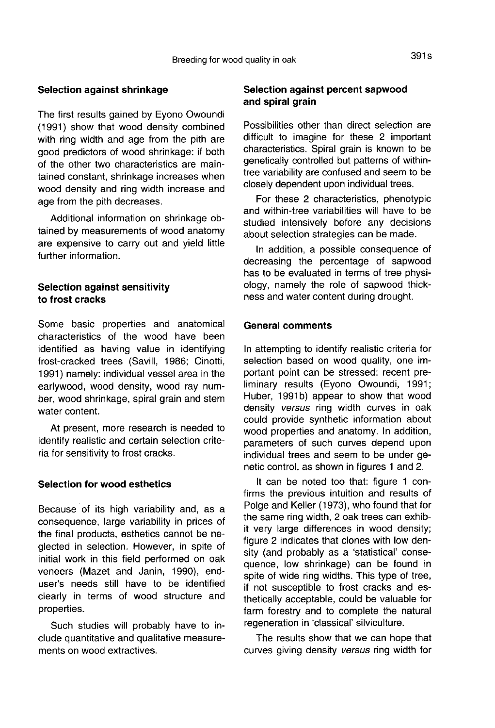#### Selection against shrinkage

The first results gained by Eyono Owoundi (1991) show that wood density combined with ring width and age from the pith are good predictors of wood shrinkage: if both of the other two characteristics are maintained constant, shrinkage increases when wood density and ring width increase and age from the pith decreases.

Additional information on shrinkage obtained by measurements of wood anatomy are expensive to carry out and yield little further information.

### Selection against sensitivity to frost cracks

Some basic properties and anatomical characteristics of the wood have been identified as having value in identifying frost-cracked trees (Savill, 1986; Cinotti, 1991) namely: individual vessel area in the earlywood, wood density, wood ray number, wood shrinkage, spiral grain and stem water content.

At present, more research is needed to identify realistic and certain selection criteria for sensitivity to frost cracks.

#### Selection for wood esthetics

Because of its high variability and, as a consequence, large variability in prices of the final products, esthetics cannot be neglected in selection. However, in spite of initial work in this field performed on oak veneers (Mazet and Janin, 1990), enduser's needs still have to be identified clearly in terms of wood structure and properties.

Such studies will probably have to include quantitative and qualitative measurements on wood extractives.

#### Selection against percent sapwood and spiral grain

Possibilities other than direct selection are difficult to imagine for these 2 important characteristics. Spiral grain is known to be genetically controlled but patterns of withintree variability are confused and seem to be closely dependent upon individual trees.

For these 2 characteristics, phenotypic and within-tree variabilities will have to be studied intensively before any decisions about selection strategies can be made.

In addition, a possible consequence of decreasing the percentage of sapwood has to be evaluated in terms of tree physiology, namely the role of sapwood thickness and water content during drought.

#### General comments

In attempting to identify realistic criteria for selection based on wood quality, one important point can be stressed: recent preliminary results (Eyono Owoundi, 1991; Huber, 1991b) appear to show that wood density versus ring width curves in oak could provide synthetic information about wood properties and anatomy. In addition, parameters of such curves depend upon individual trees and seem to be under genetic control, as shown in figures 1 and 2.

It can be noted too that: figure 1 confirms the previous intuition and results of Polge and Keller (1973), who found that for the same ring width, 2 oak trees can exhibit very large differences in wood density; figure 2 indicates that clones with low density (and probably as a 'statistical' consequence, low shrinkage) can be found in spite of wide ring widths. This type of tree, if not susceptible to frost cracks and esthetically acceptable, could be valuable for farm forestry and to complete the natural regeneration in 'classical' silviculture.

The results show that we can hope that curves giving density versus ring width for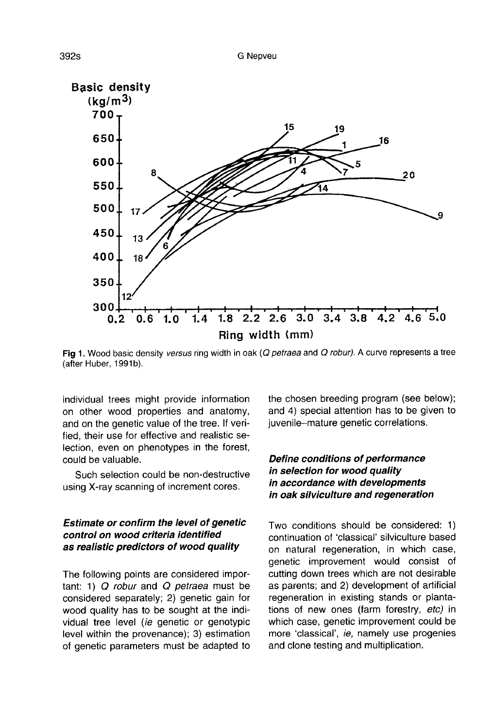

Fig 1. Wood basic density versus ring width in oak (Q petraea and Q robur). A curve represents a tree (after Huber, 1991b).

individual trees might provide information on other wood properties and anatomy, and on the genetic value of the tree. If verified, their use for effective and realistic selection, even on phenotypes in the forest, could be valuable.

Such selection could be non-destructive using X-ray scanning of increment cores.

#### Estimate or confirm the level of genetic control on wood criteria identified as realistic predictors of wood quality

The following points are considered important:  $1)$  Q robur and Q petraea must be considered separately; 2) genetic gain for wood quality has to be sought at the individual tree level (ie genetic or genotypic level within the provenance); 3) estimation of genetic parameters must be adapted to

the chosen breeding program (see below); and 4) special attention has to be given to juvenile-mature genetic correlations.

### Define conditions of performance in selection for wood quality in accordance with developments in oak silviculture and regeneration

Two conditions should be considered: 1) continuation of 'classical' silviculture based on natural regeneration, in which case, genetic improvement would consist of cutting down trees which are not desirable as parents; and 2) development of artificial regeneration in existing stands or plantations of new ones (farm forestry, etc) in which case, genetic improvement could be more 'classical', ie, namely use progenies and clone testing and multiplication.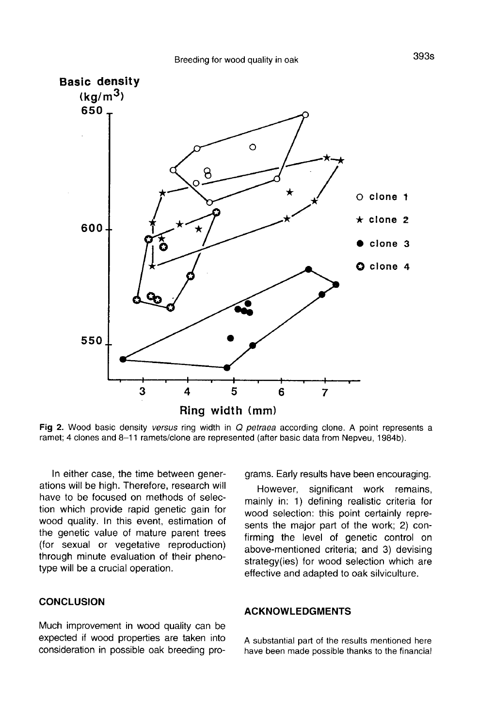

Fig 2. Wood basic density versus ring width in Q petraea according clone. A point represents a ramet; 4 clones and 8-11 ramets/clone are represented (after basic data from Nepveu, 1984b).

In either case, the time between generations will be high. Therefore, research will have to be focused on methods of selection which provide rapid genetic gain for wood quality. In this event, estimation of the genetic value of mature parent trees (for sexual or vegetative reproduction) through minute evaluation of their phenotype will be a crucial operation.

#### **CONCLUSION**

Much improvement in wood quality can be expected if wood properties are taken into consideration in possible oak breeding programs. Early results have been encouraging.

However, significant work remains, mainly in: 1) defining realistic criteria for wood selection: this point certainly represents the major part of the work; 2) confirming the level of genetic control on above-mentioned criteria; and 3) devising strategy(ies) for wood selection which are effective and adapted to oak silviculture.

#### ACKNOWLEDGMENTS

A substantial part of the results mentioned here have been made possible thanks to the financial